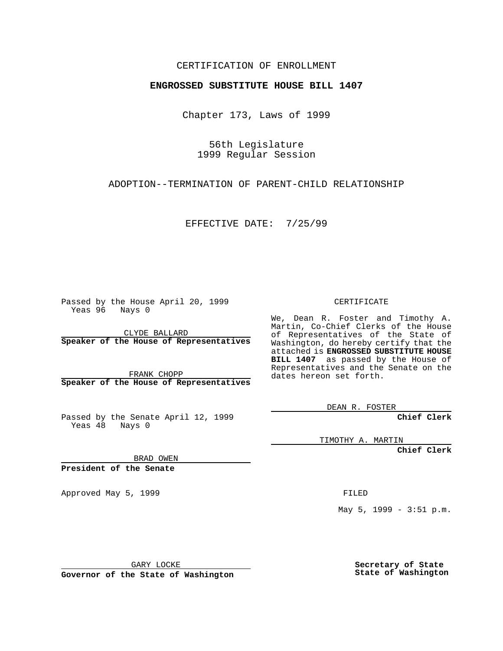### CERTIFICATION OF ENROLLMENT

## **ENGROSSED SUBSTITUTE HOUSE BILL 1407**

Chapter 173, Laws of 1999

56th Legislature 1999 Regular Session

ADOPTION--TERMINATION OF PARENT-CHILD RELATIONSHIP

EFFECTIVE DATE: 7/25/99

Passed by the House April 20, 1999 Yeas 96 Nays 0

CLYDE BALLARD **Speaker of the House of Representatives**

FRANK CHOPP **Speaker of the House of Representatives**

Passed by the Senate April 12, 1999 Yeas 48 Nays 0

CERTIFICATE

We, Dean R. Foster and Timothy A. Martin, Co-Chief Clerks of the House of Representatives of the State of Washington, do hereby certify that the attached is **ENGROSSED SUBSTITUTE HOUSE BILL 1407** as passed by the House of Representatives and the Senate on the dates hereon set forth.

DEAN R. FOSTER

**Chief Clerk**

TIMOTHY A. MARTIN

**Chief Clerk**

BRAD OWEN

**President of the Senate**

Approved May 5, 1999 **FILED** 

May 5, 1999 - 3:51 p.m.

GARY LOCKE

**Governor of the State of Washington**

**Secretary of State State of Washington**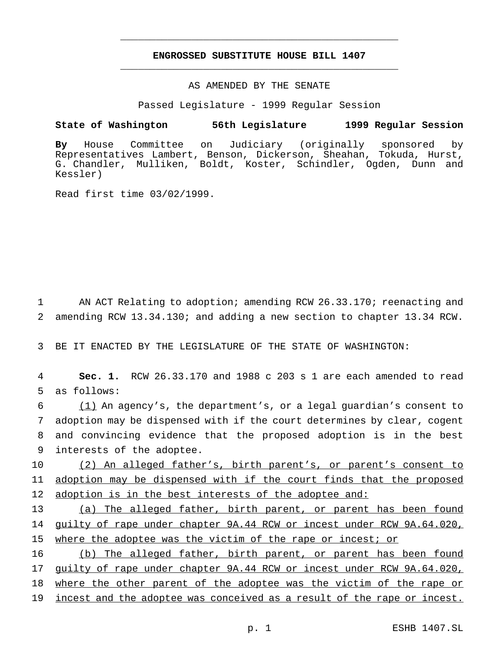# **ENGROSSED SUBSTITUTE HOUSE BILL 1407** \_\_\_\_\_\_\_\_\_\_\_\_\_\_\_\_\_\_\_\_\_\_\_\_\_\_\_\_\_\_\_\_\_\_\_\_\_\_\_\_\_\_\_\_\_\_\_

\_\_\_\_\_\_\_\_\_\_\_\_\_\_\_\_\_\_\_\_\_\_\_\_\_\_\_\_\_\_\_\_\_\_\_\_\_\_\_\_\_\_\_\_\_\_\_

## AS AMENDED BY THE SENATE

Passed Legislature - 1999 Regular Session

#### **State of Washington 56th Legislature 1999 Regular Session**

**By** House Committee on Judiciary (originally sponsored by Representatives Lambert, Benson, Dickerson, Sheahan, Tokuda, Hurst, G. Chandler, Mulliken, Boldt, Koster, Schindler, Ogden, Dunn and Kessler)

Read first time 03/02/1999.

1 AN ACT Relating to adoption; amending RCW 26.33.170; reenacting and 2 amending RCW 13.34.130; and adding a new section to chapter 13.34 RCW.

3 BE IT ENACTED BY THE LEGISLATURE OF THE STATE OF WASHINGTON:

4 **Sec. 1.** RCW 26.33.170 and 1988 c 203 s 1 are each amended to read 5 as follows:

 (1) An agency's, the department's, or a legal guardian's consent to adoption may be dispensed with if the court determines by clear, cogent and convincing evidence that the proposed adoption is in the best interests of the adoptee.

10 (2) An alleged father's, birth parent's, or parent's consent to 11 adoption may be dispensed with if the court finds that the proposed 12 adoption is in the best interests of the adoptee and:

13 (a) The alleged father, birth parent, or parent has been found 14 guilty of rape under chapter 9A.44 RCW or incest under RCW 9A.64.020, 15 where the adoptee was the victim of the rape or incest; or

16 (b) The alleged father, birth parent, or parent has been found 17 guilty of rape under chapter 9A.44 RCW or incest under RCW 9A.64.020, 18 where the other parent of the adoptee was the victim of the rape or 19 incest and the adoptee was conceived as a result of the rape or incest.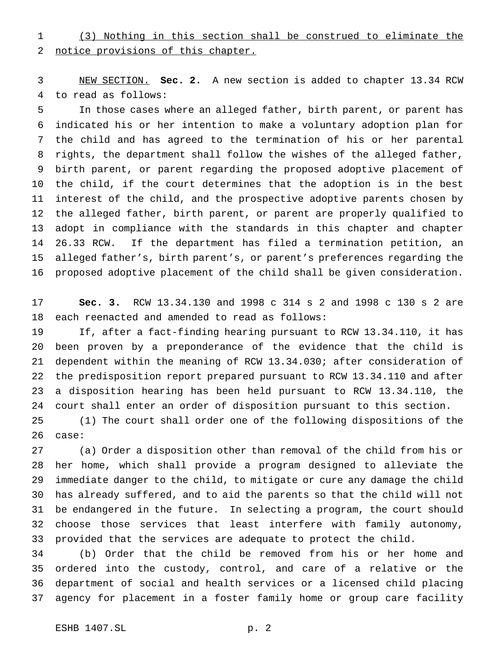(3) Nothing in this section shall be construed to eliminate the notice provisions of this chapter.

 NEW SECTION. **Sec. 2.** A new section is added to chapter 13.34 RCW to read as follows:

 In those cases where an alleged father, birth parent, or parent has indicated his or her intention to make a voluntary adoption plan for the child and has agreed to the termination of his or her parental rights, the department shall follow the wishes of the alleged father, birth parent, or parent regarding the proposed adoptive placement of the child, if the court determines that the adoption is in the best interest of the child, and the prospective adoptive parents chosen by the alleged father, birth parent, or parent are properly qualified to adopt in compliance with the standards in this chapter and chapter 26.33 RCW. If the department has filed a termination petition, an alleged father's, birth parent's, or parent's preferences regarding the proposed adoptive placement of the child shall be given consideration.

 **Sec. 3.** RCW 13.34.130 and 1998 c 314 s 2 and 1998 c 130 s 2 are each reenacted and amended to read as follows:

 If, after a fact-finding hearing pursuant to RCW 13.34.110, it has been proven by a preponderance of the evidence that the child is dependent within the meaning of RCW 13.34.030; after consideration of the predisposition report prepared pursuant to RCW 13.34.110 and after a disposition hearing has been held pursuant to RCW 13.34.110, the court shall enter an order of disposition pursuant to this section.

 (1) The court shall order one of the following dispositions of the case:

 (a) Order a disposition other than removal of the child from his or her home, which shall provide a program designed to alleviate the immediate danger to the child, to mitigate or cure any damage the child has already suffered, and to aid the parents so that the child will not be endangered in the future. In selecting a program, the court should choose those services that least interfere with family autonomy, provided that the services are adequate to protect the child.

 (b) Order that the child be removed from his or her home and ordered into the custody, control, and care of a relative or the department of social and health services or a licensed child placing agency for placement in a foster family home or group care facility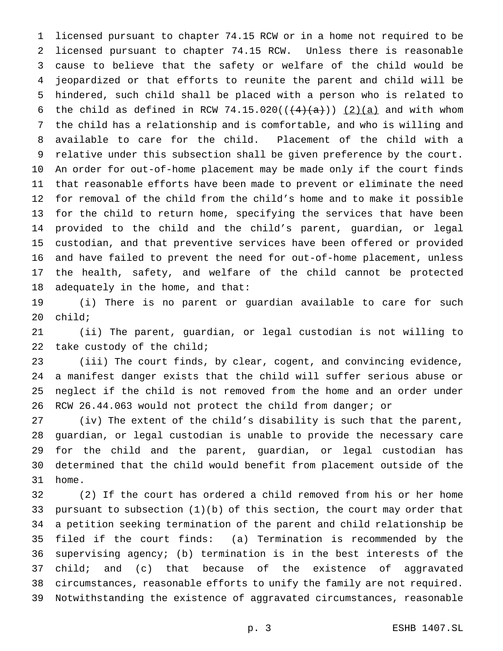licensed pursuant to chapter 74.15 RCW or in a home not required to be licensed pursuant to chapter 74.15 RCW. Unless there is reasonable cause to believe that the safety or welfare of the child would be jeopardized or that efforts to reunite the parent and child will be hindered, such child shall be placed with a person who is related to 6 the child as defined in RCW 74.15.020( $(\frac{4}{4} + a)$ )  $\frac{2}{a}$  and with whom the child has a relationship and is comfortable, and who is willing and available to care for the child. Placement of the child with a relative under this subsection shall be given preference by the court. An order for out-of-home placement may be made only if the court finds that reasonable efforts have been made to prevent or eliminate the need for removal of the child from the child's home and to make it possible for the child to return home, specifying the services that have been provided to the child and the child's parent, guardian, or legal custodian, and that preventive services have been offered or provided and have failed to prevent the need for out-of-home placement, unless the health, safety, and welfare of the child cannot be protected adequately in the home, and that:

 (i) There is no parent or guardian available to care for such child;

 (ii) The parent, guardian, or legal custodian is not willing to take custody of the child;

 (iii) The court finds, by clear, cogent, and convincing evidence, a manifest danger exists that the child will suffer serious abuse or neglect if the child is not removed from the home and an order under RCW 26.44.063 would not protect the child from danger; or

 (iv) The extent of the child's disability is such that the parent, guardian, or legal custodian is unable to provide the necessary care for the child and the parent, guardian, or legal custodian has determined that the child would benefit from placement outside of the home.

 (2) If the court has ordered a child removed from his or her home pursuant to subsection (1)(b) of this section, the court may order that a petition seeking termination of the parent and child relationship be filed if the court finds: (a) Termination is recommended by the supervising agency; (b) termination is in the best interests of the 37 child; and (c) that because of the existence of aggravated circumstances, reasonable efforts to unify the family are not required. Notwithstanding the existence of aggravated circumstances, reasonable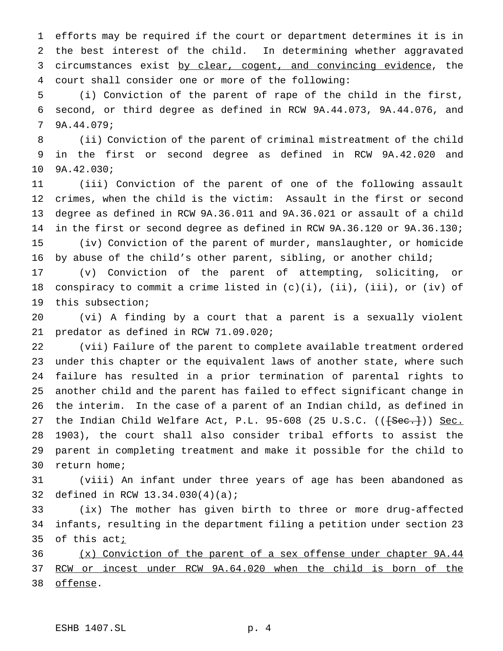efforts may be required if the court or department determines it is in the best interest of the child. In determining whether aggravated 3 circumstances exist by clear, cogent, and convincing evidence, the court shall consider one or more of the following:

 (i) Conviction of the parent of rape of the child in the first, second, or third degree as defined in RCW 9A.44.073, 9A.44.076, and 9A.44.079;

 (ii) Conviction of the parent of criminal mistreatment of the child in the first or second degree as defined in RCW 9A.42.020 and 9A.42.030;

 (iii) Conviction of the parent of one of the following assault crimes, when the child is the victim: Assault in the first or second degree as defined in RCW 9A.36.011 and 9A.36.021 or assault of a child in the first or second degree as defined in RCW 9A.36.120 or 9A.36.130; (iv) Conviction of the parent of murder, manslaughter, or homicide by abuse of the child's other parent, sibling, or another child;

 (v) Conviction of the parent of attempting, soliciting, or 18 conspiracy to commit a crime listed in  $(c)(i)$ ,  $(ii)$ ,  $(iii)$ , or  $(iv)$  of this subsection;

 (vi) A finding by a court that a parent is a sexually violent predator as defined in RCW 71.09.020;

 (vii) Failure of the parent to complete available treatment ordered under this chapter or the equivalent laws of another state, where such failure has resulted in a prior termination of parental rights to another child and the parent has failed to effect significant change in the interim. In the case of a parent of an Indian child, as defined in 27 the Indian Child Welfare Act, P.L. 95-608 (25 U.S.C. ((<del>[Sec.]</del>)) Sec. 1903), the court shall also consider tribal efforts to assist the parent in completing treatment and make it possible for the child to return home;

 (viii) An infant under three years of age has been abandoned as defined in RCW 13.34.030(4)(a);

 (ix) The mother has given birth to three or more drug-affected infants, resulting in the department filing a petition under section 23 35 of this  $act_i$ 

 (x) Conviction of the parent of a sex offense under chapter 9A.44 RCW or incest under RCW 9A.64.020 when the child is born of the offense.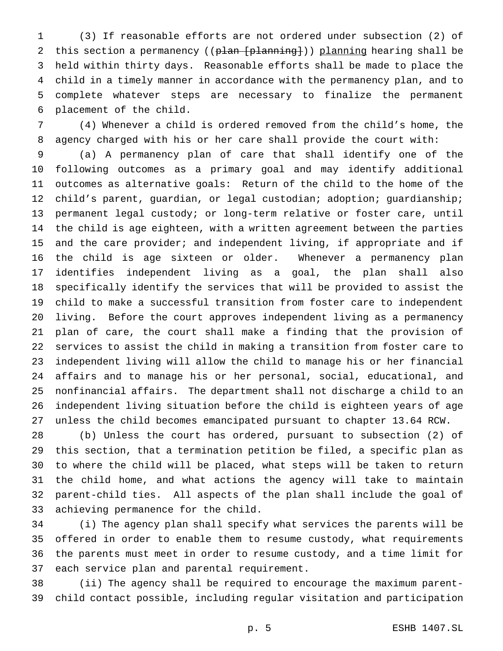(3) If reasonable efforts are not ordered under subsection (2) of 2 this section a permanency ((plan [planning])) planning hearing shall be held within thirty days. Reasonable efforts shall be made to place the child in a timely manner in accordance with the permanency plan, and to complete whatever steps are necessary to finalize the permanent placement of the child.

 (4) Whenever a child is ordered removed from the child's home, the agency charged with his or her care shall provide the court with:

 (a) A permanency plan of care that shall identify one of the following outcomes as a primary goal and may identify additional outcomes as alternative goals: Return of the child to the home of the child's parent, guardian, or legal custodian; adoption; guardianship; permanent legal custody; or long-term relative or foster care, until the child is age eighteen, with a written agreement between the parties and the care provider; and independent living, if appropriate and if the child is age sixteen or older. Whenever a permanency plan identifies independent living as a goal, the plan shall also specifically identify the services that will be provided to assist the child to make a successful transition from foster care to independent living. Before the court approves independent living as a permanency plan of care, the court shall make a finding that the provision of services to assist the child in making a transition from foster care to independent living will allow the child to manage his or her financial affairs and to manage his or her personal, social, educational, and nonfinancial affairs. The department shall not discharge a child to an independent living situation before the child is eighteen years of age unless the child becomes emancipated pursuant to chapter 13.64 RCW.

 (b) Unless the court has ordered, pursuant to subsection (2) of this section, that a termination petition be filed, a specific plan as to where the child will be placed, what steps will be taken to return the child home, and what actions the agency will take to maintain parent-child ties. All aspects of the plan shall include the goal of achieving permanence for the child.

 (i) The agency plan shall specify what services the parents will be offered in order to enable them to resume custody, what requirements the parents must meet in order to resume custody, and a time limit for each service plan and parental requirement.

 (ii) The agency shall be required to encourage the maximum parent-child contact possible, including regular visitation and participation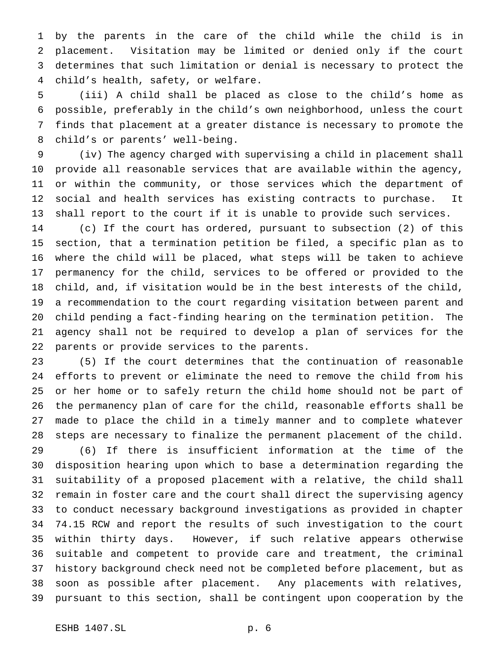by the parents in the care of the child while the child is in placement. Visitation may be limited or denied only if the court determines that such limitation or denial is necessary to protect the child's health, safety, or welfare.

 (iii) A child shall be placed as close to the child's home as possible, preferably in the child's own neighborhood, unless the court finds that placement at a greater distance is necessary to promote the child's or parents' well-being.

 (iv) The agency charged with supervising a child in placement shall provide all reasonable services that are available within the agency, or within the community, or those services which the department of social and health services has existing contracts to purchase. It shall report to the court if it is unable to provide such services.

 (c) If the court has ordered, pursuant to subsection (2) of this section, that a termination petition be filed, a specific plan as to where the child will be placed, what steps will be taken to achieve permanency for the child, services to be offered or provided to the child, and, if visitation would be in the best interests of the child, a recommendation to the court regarding visitation between parent and child pending a fact-finding hearing on the termination petition. The agency shall not be required to develop a plan of services for the parents or provide services to the parents.

 (5) If the court determines that the continuation of reasonable efforts to prevent or eliminate the need to remove the child from his or her home or to safely return the child home should not be part of the permanency plan of care for the child, reasonable efforts shall be made to place the child in a timely manner and to complete whatever steps are necessary to finalize the permanent placement of the child.

 (6) If there is insufficient information at the time of the disposition hearing upon which to base a determination regarding the suitability of a proposed placement with a relative, the child shall remain in foster care and the court shall direct the supervising agency to conduct necessary background investigations as provided in chapter 74.15 RCW and report the results of such investigation to the court within thirty days. However, if such relative appears otherwise suitable and competent to provide care and treatment, the criminal history background check need not be completed before placement, but as soon as possible after placement. Any placements with relatives, pursuant to this section, shall be contingent upon cooperation by the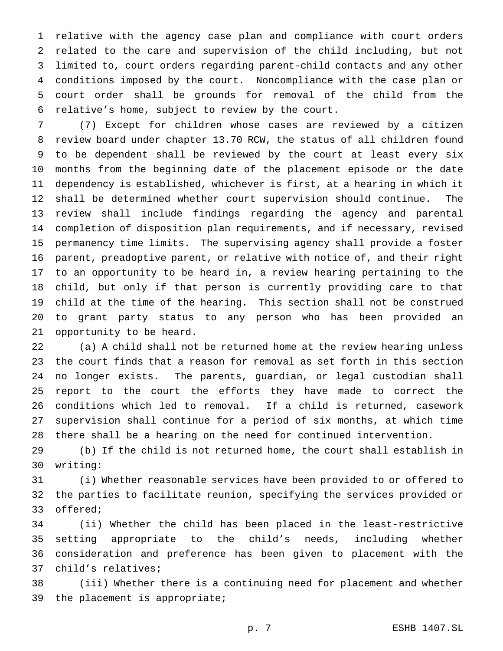relative with the agency case plan and compliance with court orders related to the care and supervision of the child including, but not limited to, court orders regarding parent-child contacts and any other conditions imposed by the court. Noncompliance with the case plan or court order shall be grounds for removal of the child from the relative's home, subject to review by the court.

 (7) Except for children whose cases are reviewed by a citizen review board under chapter 13.70 RCW, the status of all children found to be dependent shall be reviewed by the court at least every six months from the beginning date of the placement episode or the date dependency is established, whichever is first, at a hearing in which it shall be determined whether court supervision should continue. The review shall include findings regarding the agency and parental completion of disposition plan requirements, and if necessary, revised permanency time limits. The supervising agency shall provide a foster parent, preadoptive parent, or relative with notice of, and their right to an opportunity to be heard in, a review hearing pertaining to the child, but only if that person is currently providing care to that child at the time of the hearing. This section shall not be construed to grant party status to any person who has been provided an opportunity to be heard.

 (a) A child shall not be returned home at the review hearing unless the court finds that a reason for removal as set forth in this section no longer exists. The parents, guardian, or legal custodian shall report to the court the efforts they have made to correct the conditions which led to removal. If a child is returned, casework supervision shall continue for a period of six months, at which time there shall be a hearing on the need for continued intervention.

 (b) If the child is not returned home, the court shall establish in writing:

 (i) Whether reasonable services have been provided to or offered to the parties to facilitate reunion, specifying the services provided or offered;

 (ii) Whether the child has been placed in the least-restrictive setting appropriate to the child's needs, including whether consideration and preference has been given to placement with the child's relatives;

 (iii) Whether there is a continuing need for placement and whether the placement is appropriate;